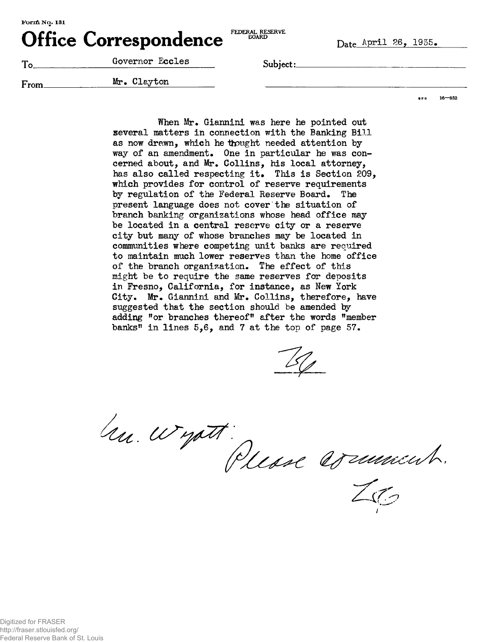Office Correspondence **EDERAL RESERVE** Date April 26, 1935.

| m.<br>- | Governor Eccles | Subject: |
|---------|-----------------|----------|
| From    | Mr. Clayton     |          |

 $8P_0$  16  $-852$ 

When Mr. Giannini was here he pointed out several matters in connection with the Banking Bill as now drawn, which he thought needed attention by way of an amendment. One in particular he was concerned about, and Mr. Collins, his local attorney, has also called respecting it. This is Section 209, which provides for control of reserve requirements by regulation of the Federal Reserve Board. The present language does not cover the situation of branch banking organizations whose head office may be located in a central reserve city or a reserve city but many of whose branches may be located in communities where competing unit banks are required to maintain much lower reserves than the home office of the branch organization. The effect of this might be to require the same reserves for deposits in Fresno, California, for instance, as New York City. Mr. Giannini and Mr. Collins, therefore, have suggested that the section should be amended by adding "or branches thereof" after the words "member banks" in lines 5,6, and 7 at the top of page 57.

hu wyatt:<br>Please arministr.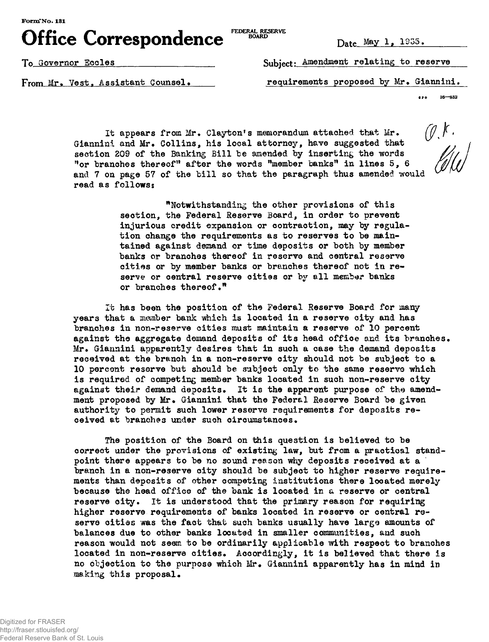**FormTNo. 131**

**Office Correspondence FEDERAL RESERVE**

Date May 1, 1935.

To\_ Governor Eooles\_\_\_\_\_\_\_\_\_\_\_\_\_\_\_\_\_\_\_\_ SnKjWf- Amendment relating to reserve

From Mr. Vest, Assistant Counsel. requirements proposed by Mr. Giannini.

 $\bullet\bullet\bullet$  $16 - 852$ 

It appears from Mr. Clayton's memorandum attached that Mr. Giannini and Mr. Collins, his local attorney, have suggested that section 209 of the Banking Bill be amended by inserting the words "or branches thereof" after the words "member banks" in lines 5, 6 and 7 on page 57 of the bill so that the paragraph thus amended would read as follows:

> "Notwithstanding the other provisions of this section, the Federal Reserve Board, in order to prevent injurious credit expansion or contraction, may by regulation change the requirements as to reserves to be maintained against demand or time deposits or both by member banks or branches thereof in reserve and central reserve cities or by member banks or branches thereof not in reserve or central reserve cities or by all member banks or branches thereof."

It has been the position of the Federal Reserve Board for many years that a member bank which is located in a reserve city and has branches in non-reserve oities must maintain a reserve of 10 percent against the aggregate demand deposits of its head office and its branches. Mr. Giannini apparently desires that in such a case the demand deposits received at the branoh in a non-reserve city should not be subject to a 10 percent reserve but should be subject only to the same reserve which is required of competing member banks located in such non-reserve city against their demand deposits. It is the apparent purpose of the amendment proposed by Mr. Giannini that the Federal Reserve Board be given authority to permit such lower reserve requirements for deposits received at branches under such circumstances.

The position of the Board on this question is believed to be correct under the provisions of existing law, but from a practical standpoint there appears to be no sound reason why deposits received at a branch in a non-reserve city should be subject to higher reserve requirements than deposits of other competing institutions there looated merely because the head office of the bank is looated in a reserve or oentral reserve city. It is understood that the primary reason for requiring higher reserve requirements of banks located in reserve or central reserve oities was the faot that such banks usually have large amounts of balances due to other banks located in smaller communities, and such reason would not seem to be ordinarily applicable with respect to branches located in non-reserve cities. Accordingly, it is believed that there is no objection to the purpose which Mr. Giannini apparently has in mind in making this proposal.

Digitized for FRASER http://fraser.stlouisfed.org/ Federal Reserve Bank of St. Louis

 $\emptyset$ , K.